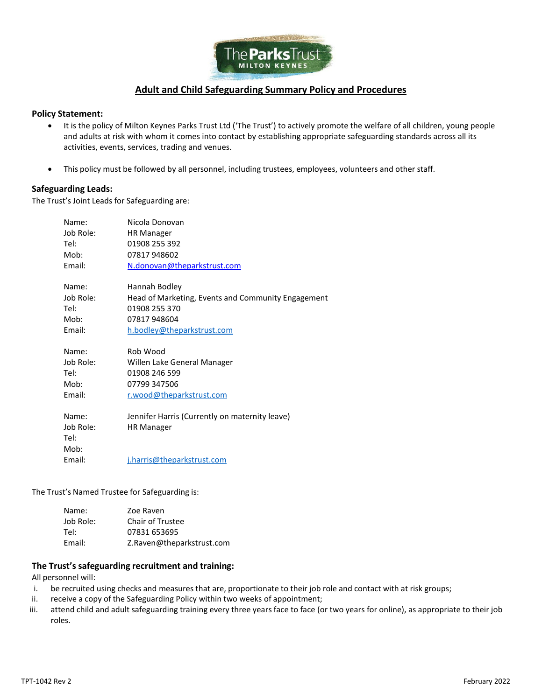

## **Adult and Child Safeguarding Summary Policy and Procedures**

#### **Policy Statement:**

- It is the policy of Milton Keynes Parks Trust Ltd ('The Trust') to actively promote the welfare of all children, young people and adults at risk with whom it comes into contact by establishing appropriate safeguarding standards across all its activities, events, services, trading and venues.
- This policy must be followed by all personnel, including trustees, employees, volunteers and other staff.

#### **Safeguarding Leads:**

The Trust's Joint Leads for Safeguarding are:

| Name:     | Nicola Donovan                                     |
|-----------|----------------------------------------------------|
| Job Role: | <b>HR Manager</b>                                  |
| Tel:      | 01908 255 392                                      |
| Mob:      | 07817948602                                        |
| Email:    | <u>N.donovan@theparkstrust.com</u>                 |
| Name:     | Hannah Bodley                                      |
| Job Role: | Head of Marketing, Events and Community Engagement |
| Tel:      | 01908 255 370                                      |
| Mob:      | 07817948604                                        |
| Email:    | h.bodley@theparkstrust.com                         |
| Name:     | Rob Wood                                           |
| Job Role: | Willen Lake General Manager                        |
| Tel:      | 01908 246 599                                      |
| Mob:      | 07799 347506                                       |
| Email:    | r.wood@theparkstrust.com                           |
| Name:     | Jennifer Harris (Currently on maternity leave)     |
| Job Role: | <b>HR Manager</b>                                  |
| Tel:      |                                                    |
| Mob:      |                                                    |
| Email:    | j.harris@theparkstrust.com                         |

The Trust's Named Trustee for Safeguarding is:

| Name:     | Zoe Raven                 |
|-----------|---------------------------|
| Job Role: | Chair of Trustee          |
| Tel:      | 07831 653695              |
| Email:    | Z.Raven@theparkstrust.com |

### **The Trust's safeguarding recruitment and training:**

All personnel will:

- i. be recruited using checks and measures that are, proportionate to their job role and contact with at risk groups;
- ii. receive a copy of the Safeguarding Policy within two weeks of appointment;
- iii. attend child and adult safeguarding training every three years face to face (or two years for online), as appropriate to their job roles.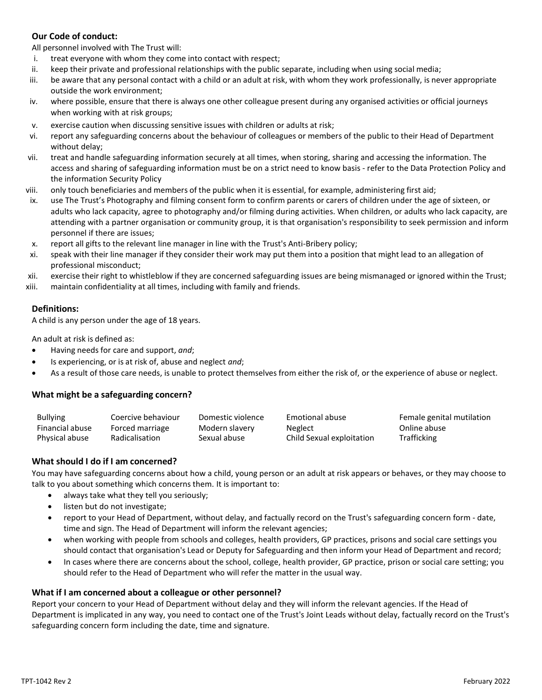## **Our Code of conduct:**

All personnel involved with The Trust will:

- i. treat everyone with whom they come into contact with respect;
- ii. keep their private and professional relationships with the public separate, including when using social media;
- iii. be aware that any personal contact with a child or an adult at risk, with whom they work professionally, is never appropriate outside the work environment;
- iv. where possible, ensure that there is always one other colleague present during any organised activities or official journeys when working with at risk groups;
- v. exercise caution when discussing sensitive issues with children or adults at risk;
- vi. report any safeguarding concerns about the behaviour of colleagues or members of the public to their Head of Department without delay;
- vii. treat and handle safeguarding information securely at all times, when storing, sharing and accessing the information. The access and sharing of safeguarding information must be on a strict need to know basis - refer to the Data Protection Policy and the information Security Policy
- viii. only touch beneficiaries and members of the public when it is essential, for example, administering first aid;
- ix. use The Trust's Photography and filming consent form to confirm parents or carers of children under the age of sixteen, or adults who lack capacity, agree to photography and/or filming during activities. When children, or adults who lack capacity, are attending with a partner organisation or community group, it is that organisation's responsibility to seek permission and inform personnel if there are issues;
- x. report all gifts to the relevant line manager in line with the Trust's Anti-Bribery policy;
- xi. speak with their line manager if they consider their work may put them into a position that might lead to an allegation of professional misconduct;
- xii. exercise their right to whistleblow if they are concerned safeguarding issues are being mismanaged or ignored within the Trust;
- xiii. maintain confidentiality at all times, including with family and friends.

### **Definitions:**

A child is any person under the age of 18 years.

An adult at risk is defined as:

- Having needs for care and support, *and*;
- Is experiencing, or is at risk of, abuse and neglect *and*;
- As a result of those care needs, is unable to protect themselves from either the risk of, or the experience of abuse or neglect.

## **What might be a safeguarding concern?**

| <b>Bullying</b> | Coercive behaviour | Domestic violence | Emotional abuse           | Female genital mutilation |
|-----------------|--------------------|-------------------|---------------------------|---------------------------|
| Financial abuse | Forced marriage    | Modern slavery    | Neglect                   | Online abuse              |
| Physical abuse  | Radicalisation     | Sexual abuse      | Child Sexual exploitation | <b>Trafficking</b>        |

## **What should I do if I am concerned?**

You may have safeguarding concerns about how a child, young person or an adult at risk appears or behaves, or they may choose to talk to you about something which concerns them. It is important to:

- always take what they tell you seriously;
- listen but do not investigate;
- report to your Head of Department, without delay, and factually record on the Trust's safeguarding concern form date, time and sign. The Head of Department will inform the relevant agencies;
- when working with people from schools and colleges, health providers, GP practices, prisons and social care settings you should contact that organisation's Lead or Deputy for Safeguarding and then inform your Head of Department and record;
- In cases where there are concerns about the school, college, health provider, GP practice, prison or social care setting; you should refer to the Head of Department who will refer the matter in the usual way.

## **What if I am concerned about a colleague or other personnel?**

Report your concern to your Head of Department without delay and they will inform the relevant agencies. If the Head of Department is implicated in any way, you need to contact one of the Trust's Joint Leads without delay, factually record on the Trust's safeguarding concern form including the date, time and signature.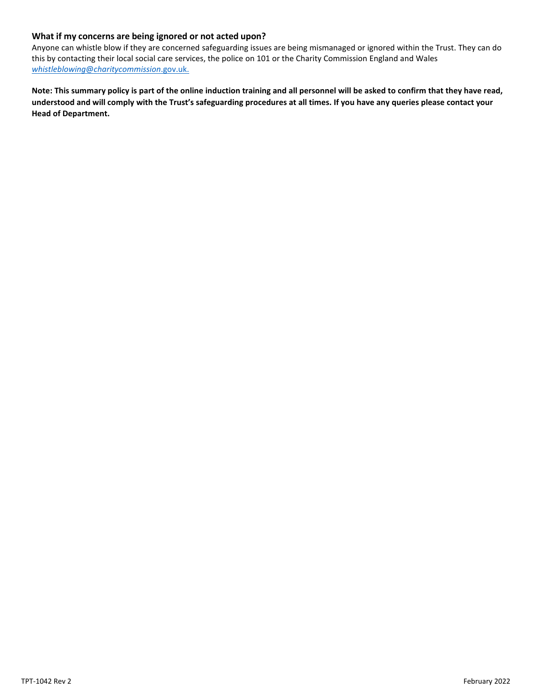## **What if my concerns are being ignored or not acted upon?**

Anyone can whistle blow if they are concerned safeguarding issues are being mismanaged or ignored within the Trust. They can do this by contacting their local social care services, the police on 101 or the Charity Commission England and Wales *whistleblowing*@*charitycommission*.gov.uk.

**Note: This summary policy is part of the online induction training and all personnel will be asked to confirm that they have read, understood and will comply with the Trust's safeguarding procedures at all times. If you have any queries please contact your Head of Department.**